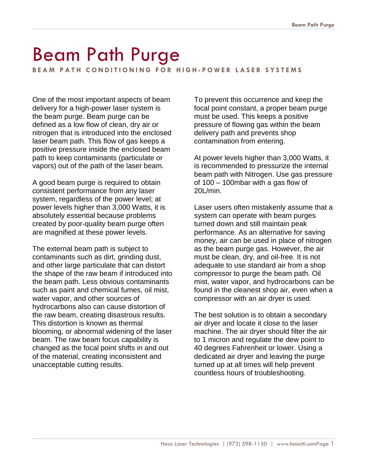## Beam Path Purge

**B E A M P A T H C O N D I T I O N I N G F O R H I G H - P O W E R L A S E R S Y S T E M S**

One of the most important aspects of beam delivery for a high-power laser system is the beam purge. Beam purge can be defined as a low flow of clean, dry air or nitrogen that is introduced into the enclosed laser beam path. This flow of gas keeps a positive pressure inside the enclosed beam path to keep contaminants (particulate or vapors) out of the path of the laser beam.

A good beam purge is required to obtain consistent performance from any laser system, regardless of the power level; at power levels higher than 3,000 Watts, it is absolutely essential because problems created by poor-quality beam purge often are magnified at these power levels.

The external beam path is subject to contaminants such as dirt, grinding dust, and other large particulate that can distort the shape of the raw beam if introduced into the beam path. Less obvious contaminants such as paint and chemical fumes, oil mist, water vapor, and other sources of hydrocarbons also can cause distortion of the raw beam, creating disastrous results. This distortion is known as thermal blooming, or abnormal widening of the laser beam. The raw beam focus capability is changed as the focal point shifts in and out of the material, creating inconsistent and unacceptable cutting results.

To prevent this occurrence and keep the focal point constant, a proper beam purge must be used. This keeps a positive pressure of flowing gas within the beam delivery path and prevents shop contamination from entering.

At power levels higher than 3,000 Watts, it is recommended to pressurize the internal beam path with Nitrogen. Use gas pressure of 100 – 100mbar with a gas flow of 20L/min.

Laser users often mistakenly assume that a system can operate with beam purges turned down and still maintain peak performance. As an alternative for saving money, air can be used in place of nitrogen as the beam purge gas. However, the air must be clean, dry, and oil-free. It is not adequate to use standard air from a shop compressor to purge the beam path. Oil mist, water vapor, and hydrocarbons can be found in the cleanest shop air, even when a compressor with an air dryer is used.

The best solution is to obtain a secondary air dryer and locate it close to the laser machine. The air dryer should filter the air to 1 micron and regulate the dew point to 40 degrees Fahrenheit or lower. Using a dedicated air dryer and leaving the purge turned up at all times will help prevent countless hours of troubleshooting.